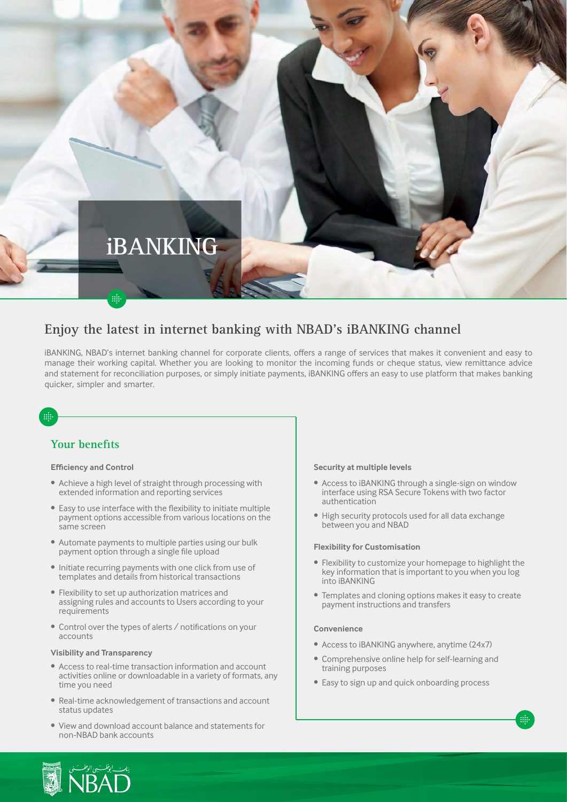

## Enjoy the latest in internet banking with NBAD's iBANKING channel

iBANKING, NBAD's internet banking channel for corporate clients, offers a range of services that makes it convenient and easy to manage their working capital. Whether you are looking to monitor the incoming funds or cheque status, view remittance advice and statement for reconciliation purposes, or simply initiate payments, iBANKING offers an easy to use platform that makes banking quicker, simpler and smarter.

# m

## **Your** benefits

### **Efficiency and Control**

- Achieve a high level of straight through processing with extended information and reporting services
- Easy to use interface with the flexibility to initiate multiple payment options accessible from various locations on the same screen
- Automate payments to multiple parties using our bulk payment option through a single file upload
- Initiate recurring payments with one click from use of templates and details from historical transactions
- Flexibility to set up authorization matrices and assigning rules and accounts to Users according to your requirements
- Control over the types of alerts / notifications on your accounts

### **Visibility and Transparency**

- Access to real-time transaction information and account activities online or downloadable in a variety of formats, any time you need
- Real-time acknowledgement of transactions and account status updates
- View and download account balance and statements for non-NBAD bank accounts

### **Security at multiple levels**

- Access to iBANKING through a single-sign on window interface using RSA Secure Tokens with two factor authentication
- High security protocols used for all data exchange between you and NBAD

### **Flexibility for Customisation**

- Flexibility to customize your homepage to highlight the key information that is important to you when you log into iBANKING
- Templates and cloning options makes it easy to create payment instructions and transfers

### **Convenience**

- Access to iBANKING anywhere, anytime (24x7)
- Comprehensive online help for self-learning and training purposes
- Easy to sign up and quick onboarding process

min